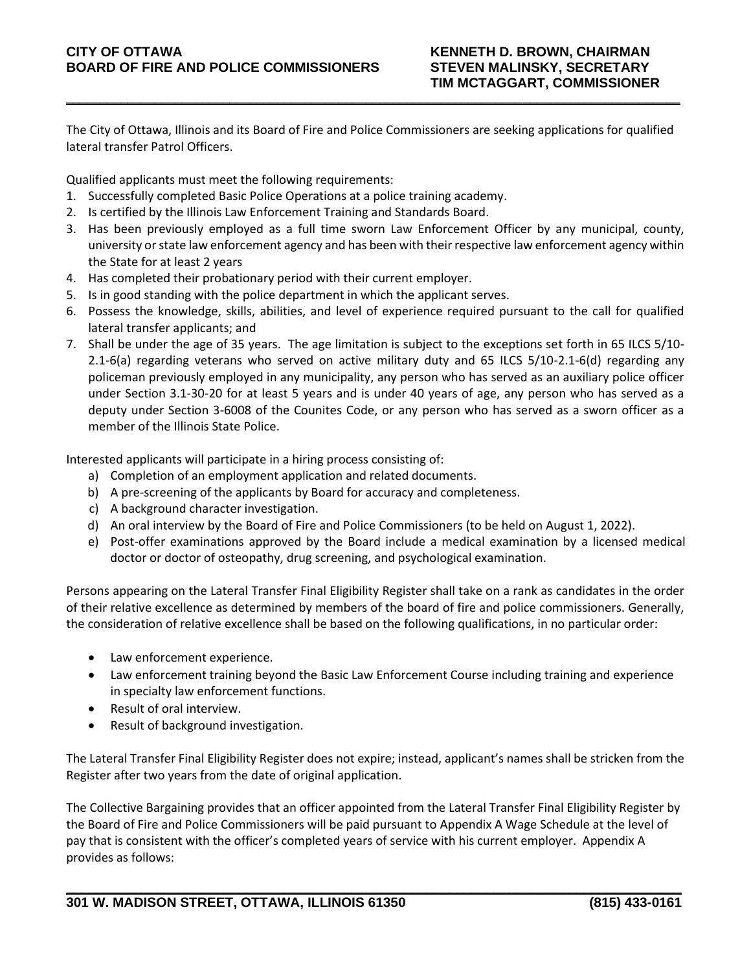The City of Ottawa, Illinois and its Board of Fire and Police Commissioners are seeking applications for qualified lateral transfer Patrol Officers.

**\_\_\_\_\_\_\_\_\_\_\_\_\_\_\_\_\_\_\_\_\_\_\_\_\_\_\_\_\_\_\_\_\_\_\_\_\_\_\_\_\_\_\_\_\_\_\_\_\_\_\_\_\_\_\_\_\_\_\_\_\_\_\_\_\_\_\_\_\_\_\_\_\_\_\_\_\_\_\_\_\_\_\_\_\_\_\_\_\_\_**

Qualified applicants must meet the following requirements:

- 1. Successfully completed Basic Police Operations at a police training academy.
- 2. Is certified by the Illinois Law Enforcement Training and Standards Board.
- 3. Has been previously employed as a full time sworn Law Enforcement Officer by any municipal, county, university or state law enforcement agency and has been with their respective law enforcement agency within the State for at least 2 years
- 4. Has completed their probationary period with their current employer.
- 5. Is in good standing with the police department in which the applicant serves.
- 6. Possess the knowledge, skills, abilities, and level of experience required pursuant to the call for qualified lateral transfer applicants; and
- 7. Shall be under the age of 35 years. The age limitation is subject to the exceptions set forth in 65 ILCS 5/10- 2.1-6(a) regarding veterans who served on active military duty and 65 ILCS 5/10-2.1-6(d) regarding any policeman previously employed in any municipality, any person who has served as an auxiliary police officer under Section 3.1-30-20 for at least 5 years and is under 40 years of age, any person who has served as a deputy under Section 3-6008 of the Counites Code, or any person who has served as a sworn officer as a member of the Illinois State Police.

Interested applicants will participate in a hiring process consisting of:

- a) Completion of an employment application and related documents.
- b) A pre-screening of the applicants by Board for accuracy and completeness.
- c) A background character investigation.
- d) An oral interview by the Board of Fire and Police Commissioners (to be held on August 1, 2022).
- e) Post-offer examinations approved by the Board include a medical examination by a licensed medical doctor or doctor of osteopathy, drug screening, and psychological examination.

Persons appearing on the Lateral Transfer Final Eligibility Register shall take on a rank as candidates in the order of their relative excellence as determined by members of the board of fire and police commissioners. Generally, the consideration of relative excellence shall be based on the following qualifications, in no particular order:

- Law enforcement experience.
- Law enforcement training beyond the Basic Law Enforcement Course including training and experience in specialty law enforcement functions.
- Result of oral interview.
- Result of background investigation.

The Lateral Transfer Final Eligibility Register does not expire; instead, applicant's names shall be stricken from the Register after two years from the date of original application.

The Collective Bargaining provides that an officer appointed from the Lateral Transfer Final Eligibility Register by the Board of Fire and Police Commissioners will be paid pursuant to Appendix A Wage Schedule at the level of pay that is consistent with the officer's completed years of service with his current employer. Appendix A provides as follows:

**\_\_\_\_\_\_\_\_\_\_\_\_\_\_\_\_\_\_\_\_\_\_\_\_\_\_\_\_\_\_\_\_\_\_\_\_\_\_\_\_\_\_\_\_\_\_\_\_\_\_\_\_\_\_\_\_\_\_\_\_\_\_\_\_\_\_\_\_\_\_\_\_\_\_\_\_\_\_\_\_\_\_**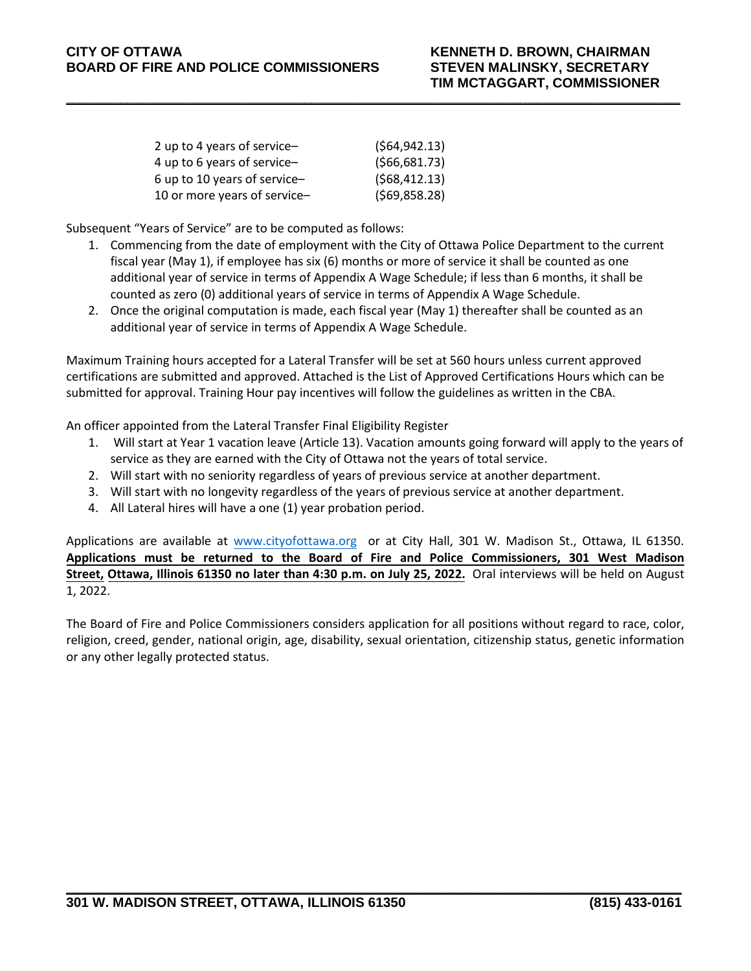| 2 up to 4 years of service-  | (564, 942.13)   |
|------------------------------|-----------------|
| 4 up to 6 years of service-  | ( \$66, 681.73) |
| 6 up to 10 years of service- | (568, 412.13)   |
| 10 or more years of service- | (569, 858.28)   |

Subsequent "Years of Service" are to be computed as follows:

1. Commencing from the date of employment with the City of Ottawa Police Department to the current fiscal year (May 1), if employee has six (6) months or more of service it shall be counted as one additional year of service in terms of Appendix A Wage Schedule; if less than 6 months, it shall be counted as zero (0) additional years of service in terms of Appendix A Wage Schedule.

**\_\_\_\_\_\_\_\_\_\_\_\_\_\_\_\_\_\_\_\_\_\_\_\_\_\_\_\_\_\_\_\_\_\_\_\_\_\_\_\_\_\_\_\_\_\_\_\_\_\_\_\_\_\_\_\_\_\_\_\_\_\_\_\_\_\_\_\_\_\_\_\_\_\_\_\_\_\_\_\_\_\_\_\_\_\_\_\_\_\_**

2. Once the original computation is made, each fiscal year (May 1) thereafter shall be counted as an additional year of service in terms of Appendix A Wage Schedule.

Maximum Training hours accepted for a Lateral Transfer will be set at 560 hours unless current approved certifications are submitted and approved. Attached is the List of Approved Certifications Hours which can be submitted for approval. Training Hour pay incentives will follow the guidelines as written in the CBA.

An officer appointed from the Lateral Transfer Final Eligibility Register

- 1. Will start at Year 1 vacation leave (Article 13). Vacation amounts going forward will apply to the years of service as they are earned with the City of Ottawa not the years of total service.
- 2. Will start with no seniority regardless of years of previous service at another department.
- 3. Will start with no longevity regardless of the years of previous service at another department.
- 4. All Lateral hires will have a one (1) year probation period.

Applications are available at [www.cityofottawa.org](http://www.cityofottawa.org/) or at City Hall, 301 W. Madison St., Ottawa, IL 61350. **Applications must be returned to the Board of Fire and Police Commissioners, 301 West Madison Street, Ottawa, Illinois 61350 no later than 4:30 p.m. on July 25, 2022.** Oral interviews will be held on August 1, 2022.

The Board of Fire and Police Commissioners considers application for all positions without regard to race, color, religion, creed, gender, national origin, age, disability, sexual orientation, citizenship status, genetic information or any other legally protected status.

**\_\_\_\_\_\_\_\_\_\_\_\_\_\_\_\_\_\_\_\_\_\_\_\_\_\_\_\_\_\_\_\_\_\_\_\_\_\_\_\_\_\_\_\_\_\_\_\_\_\_\_\_\_\_\_\_\_\_\_\_\_\_\_\_\_\_\_\_\_\_\_\_\_\_\_\_\_\_\_\_\_\_**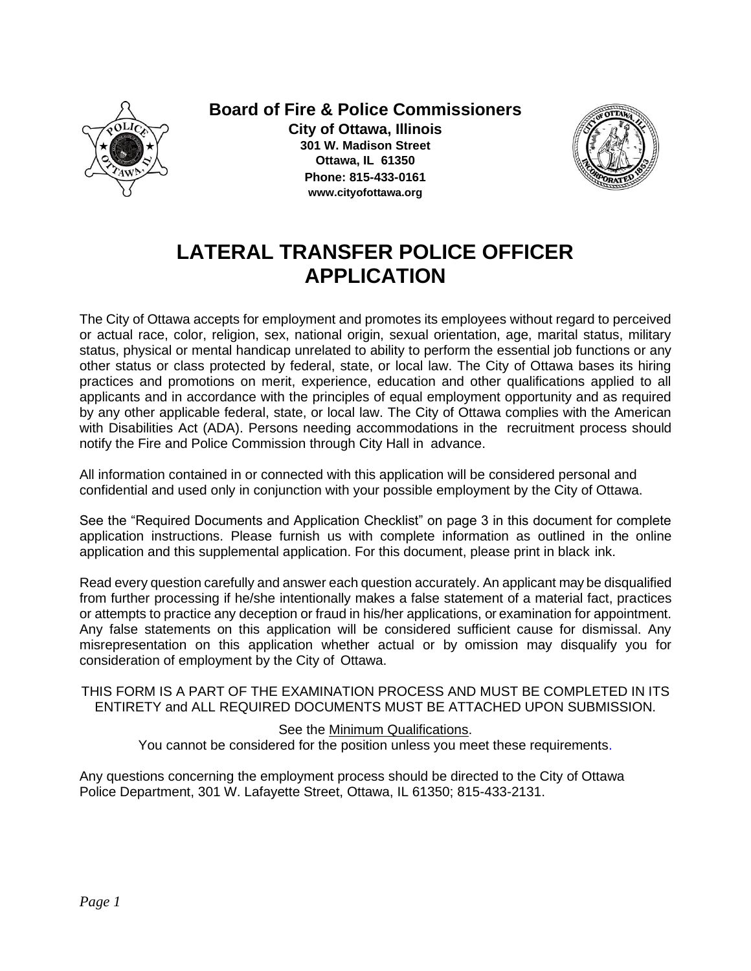

**Board of Fire & Police Commissioners City of Ottawa, Illinois 301 W. Madison Street Ottawa, IL 61350 Phone: 815-433-0161 [www.cityofottawa.org](http://www.cityofottawa.org/)**



# **LATERAL TRANSFER POLICE OFFICER APPLICATION**

The City of Ottawa accepts for employment and promotes its employees without regard to perceived or actual race, color, religion, sex, national origin, sexual orientation, age, marital status, military status, physical or mental handicap unrelated to ability to perform the essential job functions or any other status or class protected by federal, state, or local law. The City of Ottawa bases its hiring practices and promotions on merit, experience, education and other qualifications applied to all applicants and in accordance with the principles of equal employment opportunity and as required by any other applicable federal, state, or local law. The City of Ottawa complies with the American with Disabilities Act (ADA). Persons needing accommodations in the recruitment process should notify the Fire and Police Commission through City Hall in advance.

All information contained in or connected with this application will be considered personal and confidential and used only in conjunction with your possible employment by the City of Ottawa.

See the "Required Documents and Application Checklist" on page 3 in this document for complete application instructions. Please furnish us with complete information as outlined in the online application and this supplemental application. For this document, please print in black ink.

Read every question carefully and answer each question accurately. An applicant may be disqualified from further processing if he/she intentionally makes a false statement of a material fact, practices or attempts to practice any deception or fraud in his/her applications, or examination for appointment. Any false statements on this application will be considered sufficient cause for dismissal. Any misrepresentation on this application whether actual or by omission may disqualify you for consideration of employment by the City of Ottawa.

### THIS FORM IS A PART OF THE EXAMINATION PROCESS AND MUST BE COMPLETED IN ITS ENTIRETY and ALL REQUIRED DOCUMENTS MUST BE ATTACHED UPON SUBMISSION.

See the Minimum Qualifications. You cannot be considered for the position unless you meet these requirements.

Any questions concerning the employment process should be directed to the City of Ottawa Police Department, 301 W. Lafayette Street, Ottawa, IL 61350; 815-433-2131.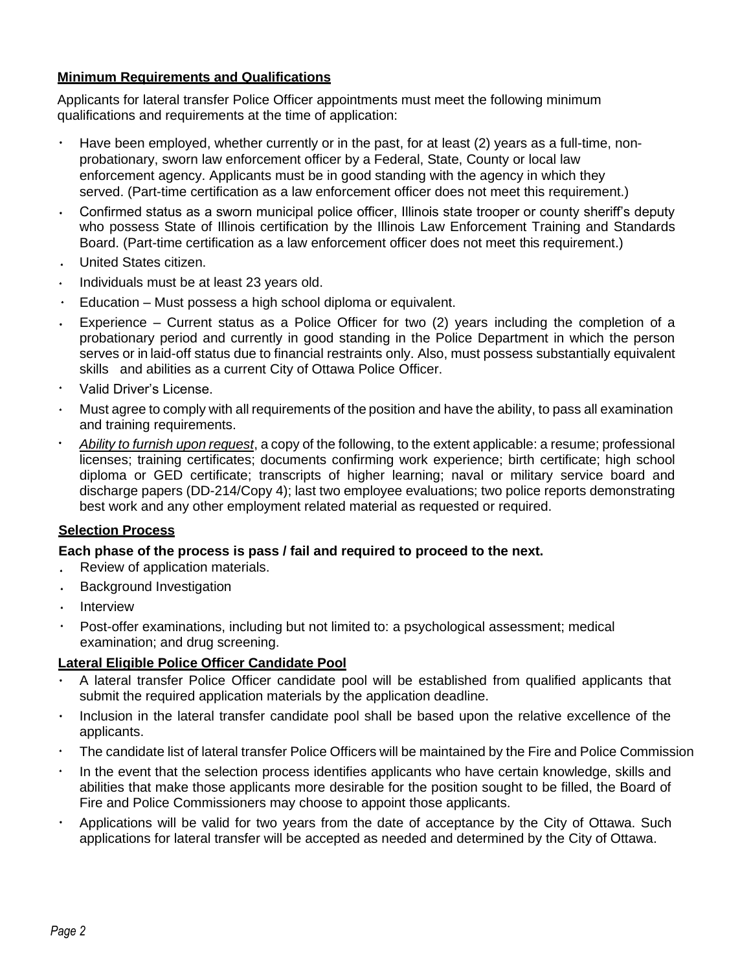### **Minimum Requirements and Qualifications**

Applicants for lateral transfer Police Officer appointments must meet the following minimum qualifications and requirements at the time of application:

- Have been employed, whether currently or in the past, for at least (2) years as a full-time, nonprobationary, sworn law enforcement officer by a Federal, State, County or local law enforcement agency. Applicants must be in good standing with the agency in which they served. (Part-time certification as a law enforcement officer does not meet this requirement.)
- Confirmed status as a sworn municipal police officer, Illinois state trooper or county sheriff's deputy who possess State of Illinois certification by the Illinois Law Enforcement Training and Standards Board. (Part-time certification as a law enforcement officer does not meet this requirement.)
- United States citizen.
- Individuals must be at least 23 years old.
- $\bullet$ Education – Must possess a high school diploma or equivalent.
- Experience Current status as a Police Officer for two (2) years including the completion of a probationary period and currently in good standing in the Police Department in which the person serves or in laid-off status due to financial restraints only. Also, must possess substantially equivalent skills and abilities as a current City of Ottawa Police Officer.
- Valid Driver's License.
- Must agree to comply with all requirements of the position and have the ability, to pass all examination and training requirements.
- *Ability to furnish upon request*, a copy of the following, to the extent applicable: a resume; professional licenses; training certificates; documents confirming work experience; birth certificate; high school diploma or GED certificate; transcripts of higher learning; naval or military service board and discharge papers (DD-214/Copy 4); last two employee evaluations; two police reports demonstrating best work and any other employment related material as requested or required.

### **Selection Process**

### **Each phase of the process is pass / fail and required to proceed to the next.**

- Review of application materials.
- Background Investigation
- Interview
- Post-offer examinations, including but not limited to: a psychological assessment; medical examination; and drug screening.

### **Lateral Eligible Police Officer Candidate Pool**

- A lateral transfer Police Officer candidate pool will be established from qualified applicants that submit the required application materials by the application deadline.
- Inclusion in the lateral transfer candidate pool shall be based upon the relative excellence of the applicants.
- The candidate list of lateral transfer Police Officers will be maintained by the Fire and Police Commission
- In the event that the selection process identifies applicants who have certain knowledge, skills and abilities that make those applicants more desirable for the position sought to be filled, the Board of Fire and Police Commissioners may choose to appoint those applicants.
- Applications will be valid for two years from the date of acceptance by the City of Ottawa. Such applications for lateral transfer will be accepted as needed and determined by the City of Ottawa.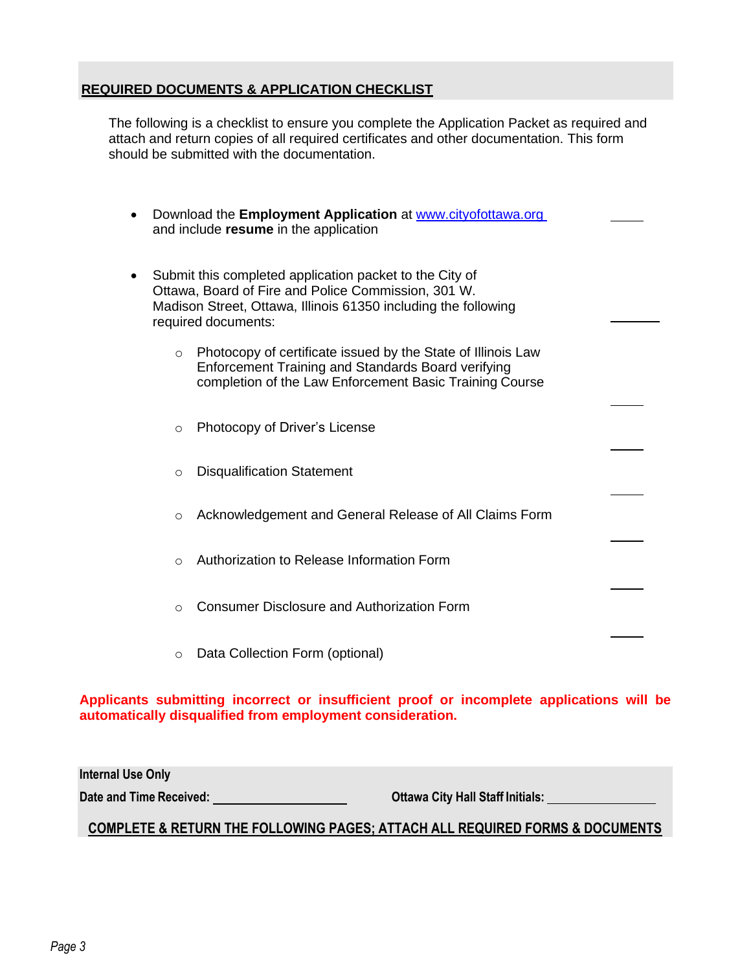### **REQUIRED DOCUMENTS & APPLICATION CHECKLIST**

The following is a checklist to ensure you complete the Application Packet as required and attach and return copies of all required certificates and other documentation. This form should be submitted with the documentation.

- Download the **Employment Application** at www.cityofottawa.org and include **resume** in the application
- Submit this completed application packet to the City of Ottawa, Board of Fire and Police Commission, 301 W. Madison Street, Ottawa, Illinois 61350 including the following required documents:
	- o Photocopy of certificate issued by the State of Illinois Law Enforcement Training and Standards Board verifying completion of the Law Enforcement Basic Training Course
	- o Photocopy of Driver's License
	- o Disqualification Statement
	- o Acknowledgement and General Release of All Claims Form
	- o Authorization to Release Information Form
	- o Consumer Disclosure and Authorization Form
	- o Data Collection Form (optional)

### **Applicants submitting incorrect or insufficient proof or incomplete applications will be automatically disqualified from employment consideration.**

**Internal Use Only**

**Ottawa City Hall Staff Initials: Date and Time Received:**

### **COMPLETE & RETURN THE FOLLOWING PAGES; ATTACH ALL REQUIRED FORMS & DOCUMENTS**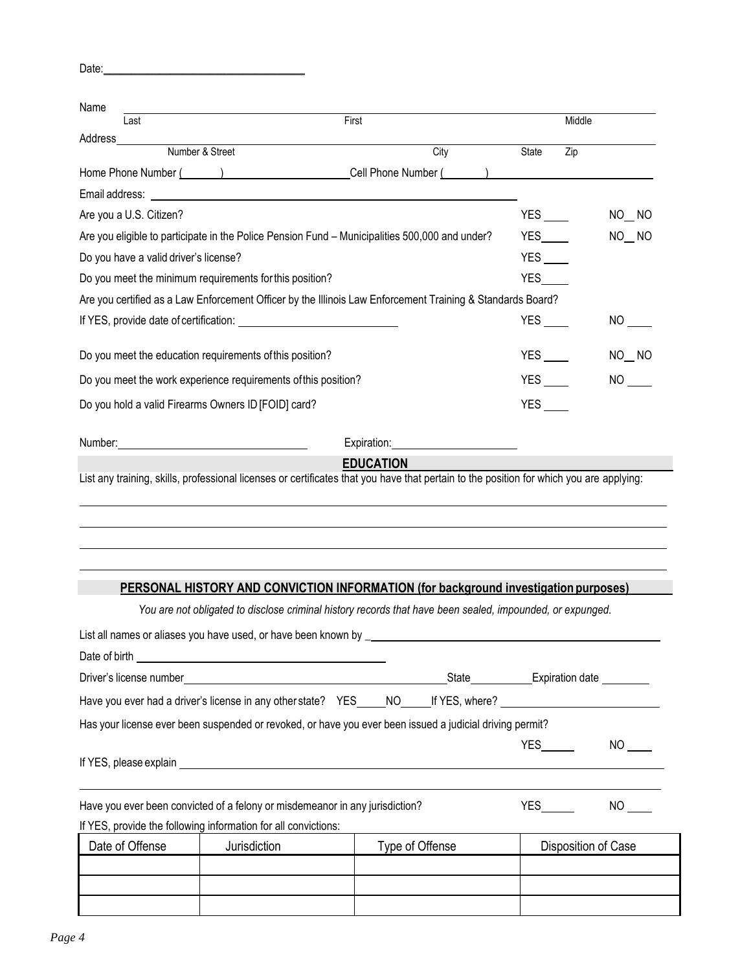Date:

| Name                                                                                                                                                                                                                           |                 |                                                                                                                                                                                                                               |      |                                     |                      |
|--------------------------------------------------------------------------------------------------------------------------------------------------------------------------------------------------------------------------------|-----------------|-------------------------------------------------------------------------------------------------------------------------------------------------------------------------------------------------------------------------------|------|-------------------------------------|----------------------|
| Last                                                                                                                                                                                                                           |                 | First                                                                                                                                                                                                                         |      |                                     | Middle               |
| Address                                                                                                                                                                                                                        | Number & Street |                                                                                                                                                                                                                               | City | State                               | Zip                  |
|                                                                                                                                                                                                                                |                 | Home Phone Number ( and ) and Cell Phone Number ( and )                                                                                                                                                                       |      |                                     |                      |
|                                                                                                                                                                                                                                |                 |                                                                                                                                                                                                                               |      |                                     |                      |
| Are you a U.S. Citizen?                                                                                                                                                                                                        |                 |                                                                                                                                                                                                                               |      |                                     | $NO$ $NO$            |
|                                                                                                                                                                                                                                |                 | Are you eligible to participate in the Police Pension Fund – Municipalities 500,000 and under?                                                                                                                                |      | <b>YES</b>                          | NO NO                |
| Do you have a valid driver's license?                                                                                                                                                                                          |                 |                                                                                                                                                                                                                               |      | $YES$ <sub>----</sub>               |                      |
| Do you meet the minimum requirements for this position?                                                                                                                                                                        |                 |                                                                                                                                                                                                                               |      | <b>YES</b>                          |                      |
|                                                                                                                                                                                                                                |                 | Are you certified as a Law Enforcement Officer by the Illinois Law Enforcement Training & Standards Board?                                                                                                                    |      |                                     |                      |
| If YES, provide date of certification: Network and Security Assembly Provided at the Material Assembly                                                                                                                         |                 |                                                                                                                                                                                                                               |      | $YES$ <sub><math>\_\_\</math></sub> |                      |
| Do you meet the education requirements of this position?                                                                                                                                                                       |                 |                                                                                                                                                                                                                               |      | $YES$ <sub>---</sub>                | $NO$ NO              |
| Do you meet the work experience requirements of this position?                                                                                                                                                                 |                 |                                                                                                                                                                                                                               |      |                                     |                      |
| Do you hold a valid Firearms Owners ID [FOID] card?                                                                                                                                                                            |                 |                                                                                                                                                                                                                               |      | $YES$ <sub>-----</sub>              |                      |
| Number: Number and the state of the state of the state of the state of the state of the state of the state of the state of the state of the state of the state of the state of the state of the state of the state of the stat |                 | Expiration:                                                                                                                                                                                                                   |      |                                     |                      |
|                                                                                                                                                                                                                                |                 | <b>EDUCATION</b>                                                                                                                                                                                                              |      |                                     |                      |
|                                                                                                                                                                                                                                |                 |                                                                                                                                                                                                                               |      |                                     |                      |
|                                                                                                                                                                                                                                |                 | <b>PERSONAL HISTORY AND CONVICTION INFORMATION (for background investigation purposes)</b>                                                                                                                                    |      |                                     |                      |
|                                                                                                                                                                                                                                |                 | You are not obligated to disclose criminal history records that have been sealed, impounded, or expunged.                                                                                                                     |      |                                     |                      |
|                                                                                                                                                                                                                                |                 | List all names or aliases you have used, or have been known by _                                                                                                                                                              |      |                                     |                      |
|                                                                                                                                                                                                                                |                 |                                                                                                                                                                                                                               |      |                                     |                      |
|                                                                                                                                                                                                                                |                 |                                                                                                                                                                                                                               |      |                                     |                      |
|                                                                                                                                                                                                                                |                 | Have you ever had a driver's license in any other state? YES_____NO_____If YES, where? _______________________                                                                                                                |      |                                     |                      |
|                                                                                                                                                                                                                                |                 | Has your license ever been suspended or revoked, or have you ever been issued a judicial driving permit?                                                                                                                      |      |                                     |                      |
|                                                                                                                                                                                                                                |                 |                                                                                                                                                                                                                               |      | $YES$ <sub>______</sub>             | $NO$ <sub>____</sub> |
|                                                                                                                                                                                                                                |                 | If YES, please explain experience and the set of the set of the set of the set of the set of the set of the set of the set of the set of the set of the set of the set of the set of the set of the set of the set of the set |      |                                     |                      |
|                                                                                                                                                                                                                                |                 | Have you ever been convicted of a felony or misdemeanor in any jurisdiction?                                                                                                                                                  |      |                                     | NO <sub>2</sub>      |
| If YES, provide the following information for all convictions:                                                                                                                                                                 |                 |                                                                                                                                                                                                                               |      |                                     |                      |
| Date of Offense                                                                                                                                                                                                                | Jurisdiction    | Type of Offense                                                                                                                                                                                                               |      |                                     | Disposition of Case  |
|                                                                                                                                                                                                                                |                 |                                                                                                                                                                                                                               |      |                                     |                      |
|                                                                                                                                                                                                                                |                 |                                                                                                                                                                                                                               |      |                                     |                      |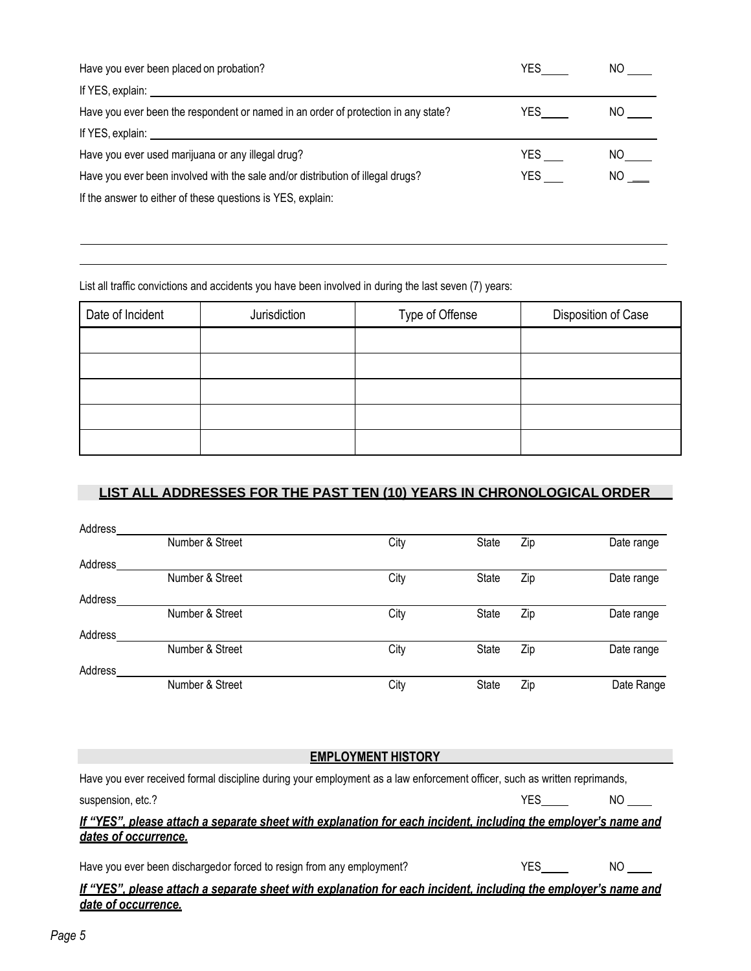| Have you ever been placed on probation?                                            | YES.  | NO.   |
|------------------------------------------------------------------------------------|-------|-------|
| If YES, explain:                                                                   |       |       |
| Have you ever been the respondent or named in an order of protection in any state? | YES – | NO.   |
| If YES, explain:                                                                   |       |       |
| Have you ever used marijuana or any illegal drug?                                  | YES.  | NO DI |
| Have you ever been involved with the sale and/or distribution of illegal drugs?    | YES   | NO L  |
| If the answer to either of these questions is YES, explain:                        |       |       |

List all traffic convictions and accidents you have been involved in during the last seven (7) years:

| Date of Incident | Jurisdiction | Type of Offense | Disposition of Case |
|------------------|--------------|-----------------|---------------------|
|                  |              |                 |                     |
|                  |              |                 |                     |
|                  |              |                 |                     |
|                  |              |                 |                     |
|                  |              |                 |                     |

## **LIST ALL ADDRESSES FOR THE PAST TEN (10) YEARS IN CHRONOLOGICAL ORDER**

| Address |                 |      |              |     |            |
|---------|-----------------|------|--------------|-----|------------|
|         | Number & Street | City | State        | Zip | Date range |
| Address |                 |      |              |     |            |
|         | Number & Street | City | State        | Zip | Date range |
| Address |                 |      |              |     |            |
|         | Number & Street | City | <b>State</b> | Zip | Date range |
| Address |                 |      |              |     |            |
|         | Number & Street | City | <b>State</b> | Zip | Date range |
| Address |                 |      |              |     |            |
|         | Number & Street | City | <b>State</b> | Zip | Date Range |

### **EMPLOYMENT HISTORY**

| Have you ever received formal discipline during your employment as a law enforcement officer, such as written reprimands,              |            |       |
|----------------------------------------------------------------------------------------------------------------------------------------|------------|-------|
| suspension, etc.?                                                                                                                      | <b>YES</b> | NO.   |
| If "YES", please attach a separate sheet with explanation for each incident, including the emplover's name and<br>dates of occurrence. |            |       |
| Have you ever been discharged or forced to resign from any employment?                                                                 | <b>YES</b> | NO NO |
| If "YES", please attach a separate sheet with explanation for each incident, including the employer's name and<br>date of occurrence.  |            |       |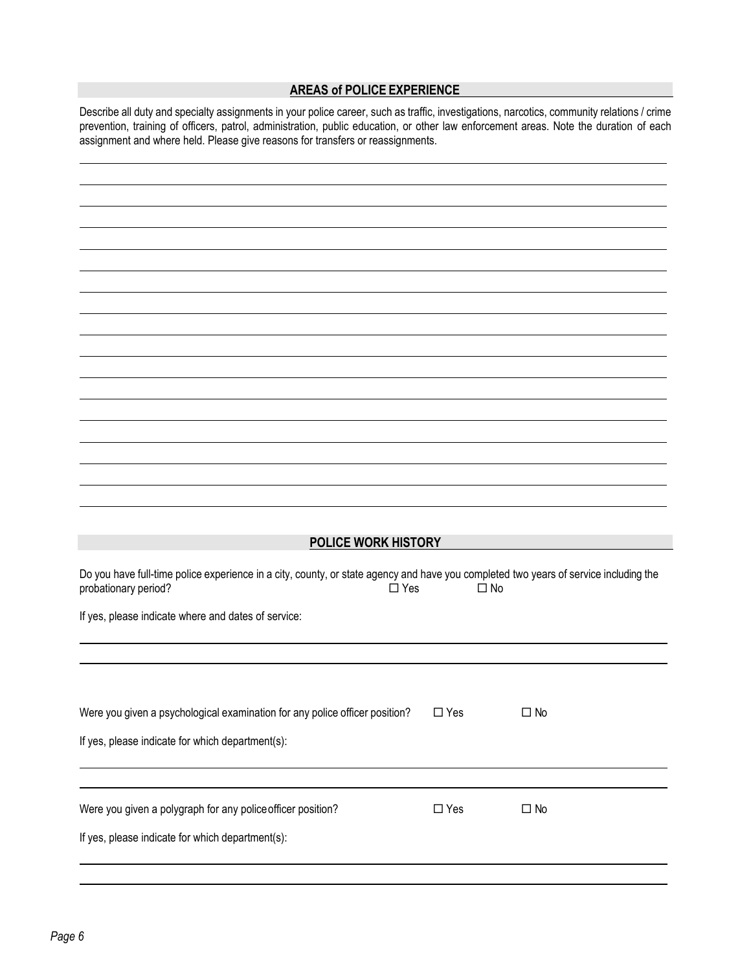### **AREAS of POLICE EXPERIENCE**

Describe all duty and specialty assignments in your police career, such as traffic, investigations, narcotics, community relations / crime prevention, training of officers, patrol, administration, public education, or other law enforcement areas. Note the duration of each assignment and where held. Please give reasons for transfers or reassignments.

| <b>POLICE WORK HISTORY</b>                                                                                                                                                 |               |              |  |
|----------------------------------------------------------------------------------------------------------------------------------------------------------------------------|---------------|--------------|--|
| Do you have full-time police experience in a city, county, or state agency and have you completed two years of service including the<br>probationary period?<br>$\Box$ Yes |               | $\square$ No |  |
| If yes, please indicate where and dates of service:                                                                                                                        |               |              |  |
|                                                                                                                                                                            |               |              |  |
|                                                                                                                                                                            |               |              |  |
| Were you given a psychological examination for any police officer position?                                                                                                | $\square$ Yes | $\Box$ No    |  |
| If yes, please indicate for which department(s):                                                                                                                           |               |              |  |
| Were you given a polygraph for any police officer position?                                                                                                                | $\square$ Yes | $\Box$ No    |  |
| If yes, please indicate for which department(s):                                                                                                                           |               |              |  |
|                                                                                                                                                                            |               |              |  |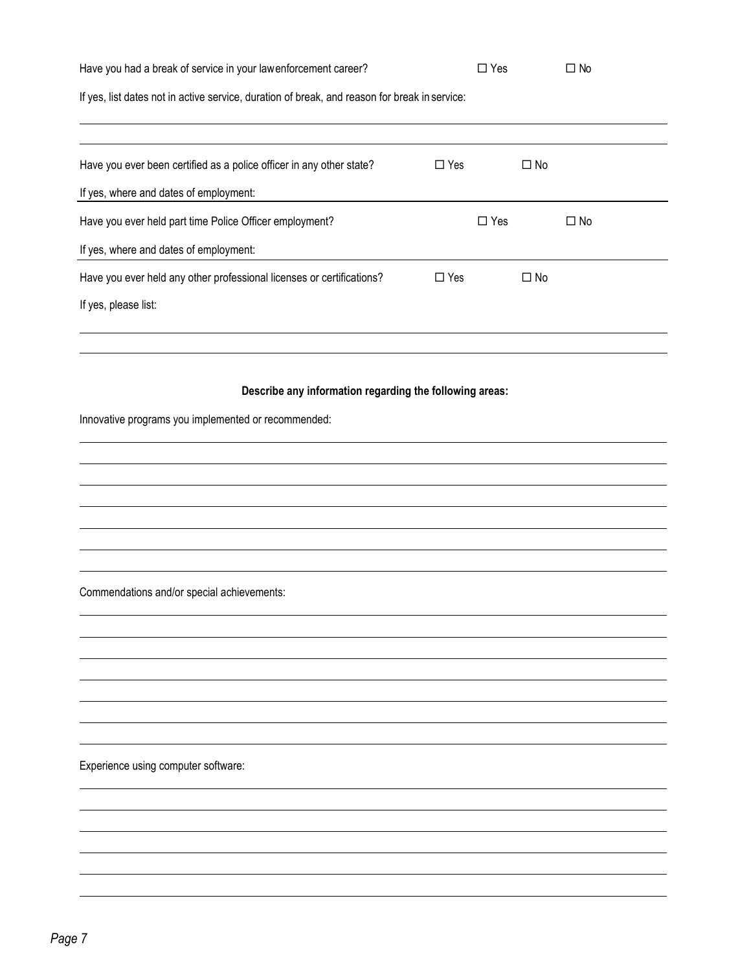Have you had a break of service in your lawenforcement career?  $\square$  Yes  $\square$  No

If yes, list dates not in active service, duration of break, and reason for break in service:

| Have you ever been certified as a police officer in any other state?  | $\Box$ Yes    | $\Box$ No |           |
|-----------------------------------------------------------------------|---------------|-----------|-----------|
| If yes, where and dates of employment:                                |               |           |           |
| Have you ever held part time Police Officer employment?               | Yes<br>$\Box$ |           | $\Box$ No |
| If yes, where and dates of employment:                                |               |           |           |
| Have you ever held any other professional licenses or certifications? | $\Box$ Yes    | $\Box$ No |           |
| If yes, please list:                                                  |               |           |           |
|                                                                       |               |           |           |

#### **Describe any information regarding the following areas:**

Innovative programs you implemented or recommended:

Commendations and/or special achievements:

Experience using computer software: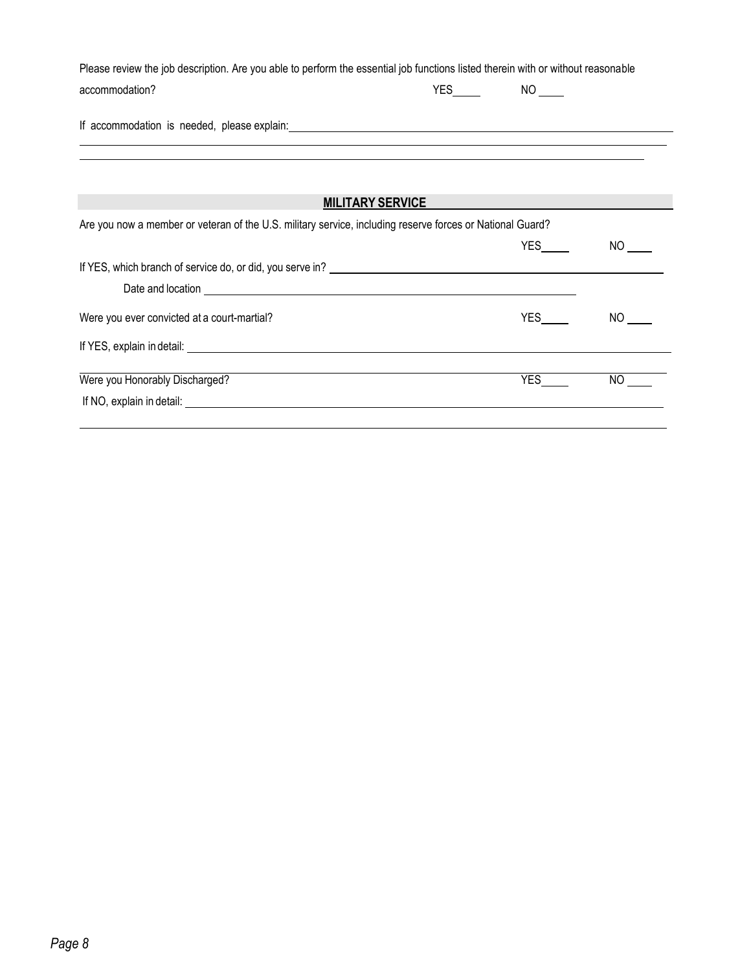| Please review the job description. Are you able to perform the essential job functions listed therein with or without reasonable                                                                                                     |                                                                                                                                                                                                                                      |                   |                      |
|--------------------------------------------------------------------------------------------------------------------------------------------------------------------------------------------------------------------------------------|--------------------------------------------------------------------------------------------------------------------------------------------------------------------------------------------------------------------------------------|-------------------|----------------------|
| accommodation?                                                                                                                                                                                                                       |                                                                                                                                                                                                                                      | $YES$ NO $\qquad$ |                      |
| ,我们也不能会在这里,我们的人们就会不能会在这里,我们也不能会不能会不能会不能会不能会不能会不能会不能会不能会不能会。""我们的人们就会不能会不能会不能会不能会                                                                                                                                                     |                                                                                                                                                                                                                                      |                   |                      |
|                                                                                                                                                                                                                                      |                                                                                                                                                                                                                                      |                   |                      |
|                                                                                                                                                                                                                                      | <u>MILITARY SERVICE Expression and the contract of the contract of the contract of the contract of the contract of the contract of the contract of the contract of the contract of the contract of the contract of the contract </u> |                   |                      |
| Are you now a member or veteran of the U.S. military service, including reserve forces or National Guard?                                                                                                                            |                                                                                                                                                                                                                                      |                   |                      |
|                                                                                                                                                                                                                                      |                                                                                                                                                                                                                                      |                   | NO <sub>1</sub>      |
| If YES, which branch of service do, or did, you serve in? Letter that the server of the service of the server of the server of the server of the server of the server of the server of the server of the server of the server        |                                                                                                                                                                                                                                      |                   |                      |
|                                                                                                                                                                                                                                      |                                                                                                                                                                                                                                      |                   |                      |
| Were you ever convicted at a court-martial?                                                                                                                                                                                          |                                                                                                                                                                                                                                      | <b>YES</b>        | $NO$ <sub>----</sub> |
|                                                                                                                                                                                                                                      |                                                                                                                                                                                                                                      |                   |                      |
|                                                                                                                                                                                                                                      |                                                                                                                                                                                                                                      |                   |                      |
| Were you Honorably Discharged?                                                                                                                                                                                                       |                                                                                                                                                                                                                                      | <b>YES</b>        | NO                   |
| If NO, explain in detail: <u>example and the set of the set of the set of the set of the set of the set of the set of the set of the set of the set of the set of the set of the set of the set of the set of the set of the set</u> |                                                                                                                                                                                                                                      |                   |                      |
|                                                                                                                                                                                                                                      |                                                                                                                                                                                                                                      |                   |                      |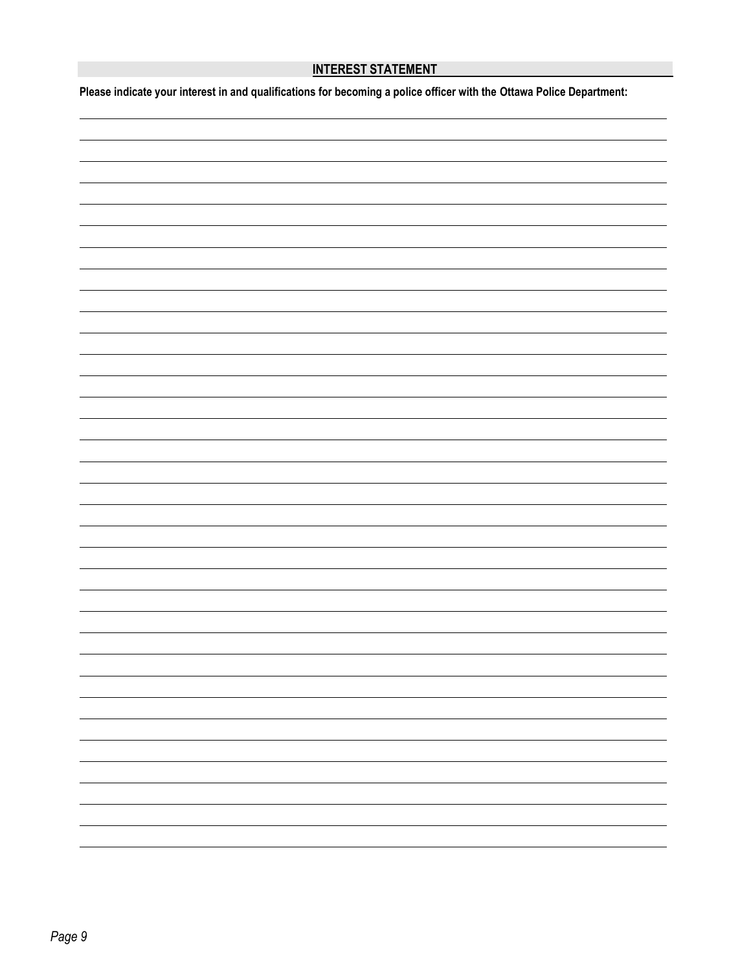## **INTEREST STATEMENT**

**Please indicate your interest in and qualifications for becoming a police officer with the Ottawa Police Department:**

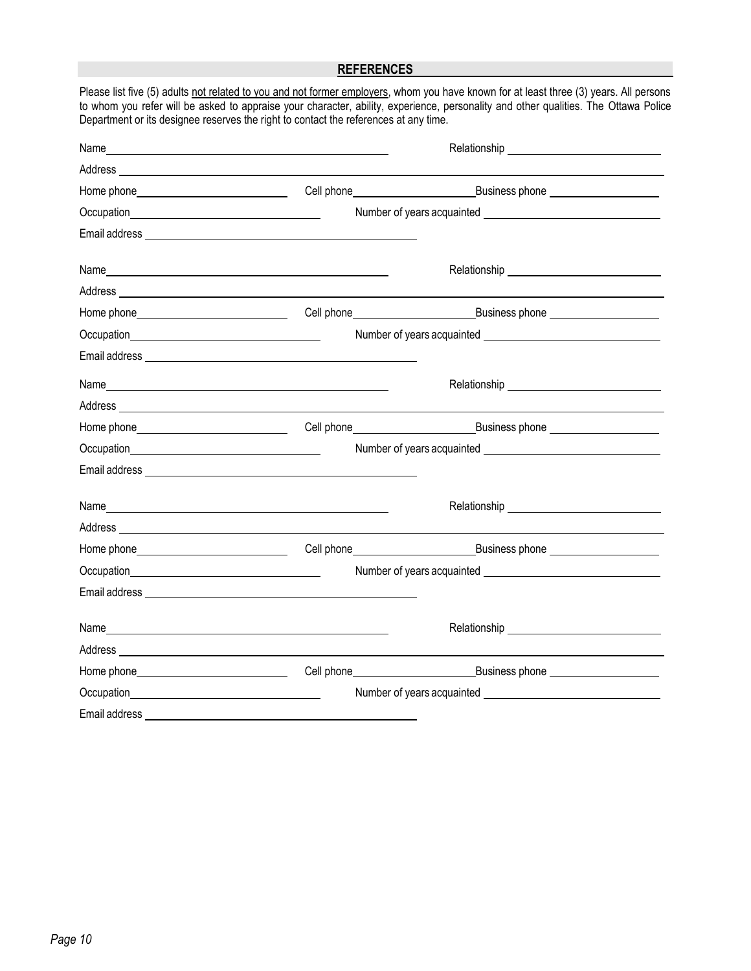## **REFERENCES**

|            | Department or its designee reserves the right to contact the references at any time. | Please list five (5) adults not related to you and not former employers, whom you have known for at least three (3) years. All persons<br>to whom you refer will be asked to appraise your character, ability, experience, personality and other qualities. The Ottawa Police |  |  |
|------------|--------------------------------------------------------------------------------------|-------------------------------------------------------------------------------------------------------------------------------------------------------------------------------------------------------------------------------------------------------------------------------|--|--|
|            |                                                                                      |                                                                                                                                                                                                                                                                               |  |  |
|            |                                                                                      |                                                                                                                                                                                                                                                                               |  |  |
|            |                                                                                      |                                                                                                                                                                                                                                                                               |  |  |
|            |                                                                                      |                                                                                                                                                                                                                                                                               |  |  |
|            |                                                                                      |                                                                                                                                                                                                                                                                               |  |  |
|            |                                                                                      |                                                                                                                                                                                                                                                                               |  |  |
|            |                                                                                      |                                                                                                                                                                                                                                                                               |  |  |
|            |                                                                                      |                                                                                                                                                                                                                                                                               |  |  |
|            |                                                                                      |                                                                                                                                                                                                                                                                               |  |  |
|            |                                                                                      |                                                                                                                                                                                                                                                                               |  |  |
|            |                                                                                      |                                                                                                                                                                                                                                                                               |  |  |
|            |                                                                                      |                                                                                                                                                                                                                                                                               |  |  |
|            |                                                                                      | Home phone__________________________________Cell phone__________________________Business phone _____________________                                                                                                                                                          |  |  |
|            |                                                                                      | Number of years acquainted Number of years acquainted                                                                                                                                                                                                                         |  |  |
|            |                                                                                      |                                                                                                                                                                                                                                                                               |  |  |
|            |                                                                                      | Relationship Network and Changes and Changes and Changes and Changes and Changes and Changes and Changes and Changes and Changes and Changes and Changes and Changes and Changes and Changes and Changes and Changes and Chang                                                |  |  |
|            |                                                                                      |                                                                                                                                                                                                                                                                               |  |  |
|            |                                                                                      | Home phone__________________________________Cell phone__________________________Business phone _______________                                                                                                                                                                |  |  |
|            |                                                                                      |                                                                                                                                                                                                                                                                               |  |  |
|            |                                                                                      |                                                                                                                                                                                                                                                                               |  |  |
|            |                                                                                      |                                                                                                                                                                                                                                                                               |  |  |
|            |                                                                                      |                                                                                                                                                                                                                                                                               |  |  |
|            |                                                                                      |                                                                                                                                                                                                                                                                               |  |  |
| Occupation | Number of years acquainted                                                           |                                                                                                                                                                                                                                                                               |  |  |

Email address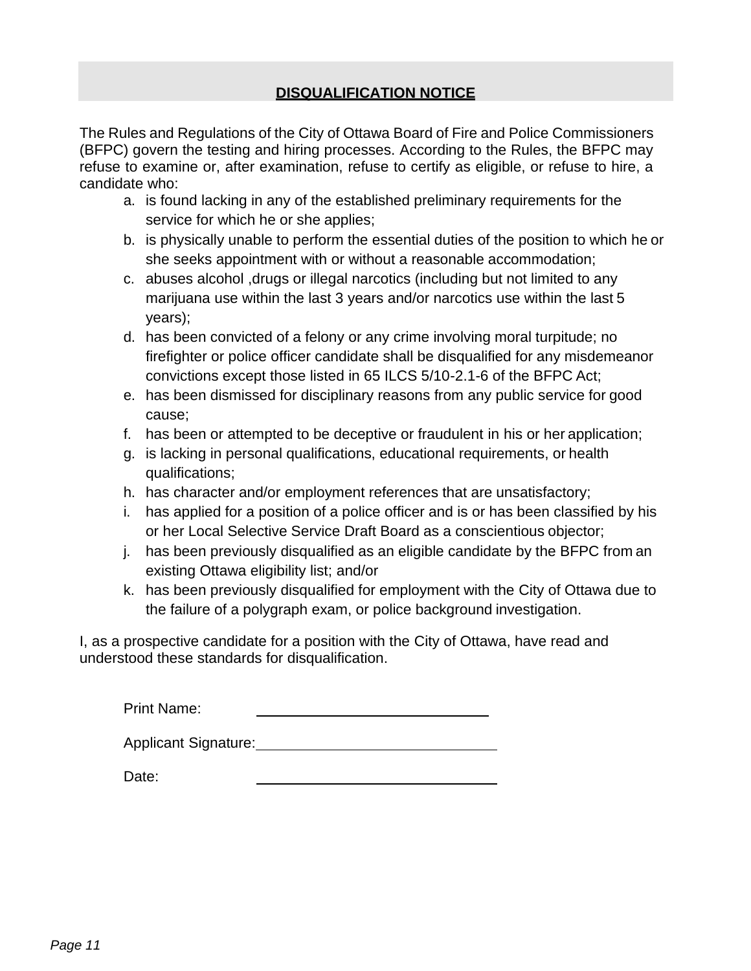# **DISQUALIFICATION NOTICE**

The Rules and Regulations of the City of Ottawa Board of Fire and Police Commissioners (BFPC) govern the testing and hiring processes. According to the Rules, the BFPC may refuse to examine or, after examination, refuse to certify as eligible, or refuse to hire, a candidate who:

- a. is found lacking in any of the established preliminary requirements for the service for which he or she applies;
- b. is physically unable to perform the essential duties of the position to which he or she seeks appointment with or without a reasonable accommodation;
- c. abuses alcohol ,drugs or illegal narcotics (including but not limited to any marijuana use within the last 3 years and/or narcotics use within the last 5 years);
- d. has been convicted of a felony or any crime involving moral turpitude; no firefighter or police officer candidate shall be disqualified for any misdemeanor convictions except those listed in 65 ILCS 5/10-2.1-6 of the BFPC Act;
- e. has been dismissed for disciplinary reasons from any public service for good cause;
- f. has been or attempted to be deceptive or fraudulent in his or her application;
- g. is lacking in personal qualifications, educational requirements, or health qualifications;
- h. has character and/or employment references that are unsatisfactory;
- i. has applied for a position of a police officer and is or has been classified by his or her Local Selective Service Draft Board as a conscientious objector;
- j. has been previously disqualified as an eligible candidate by the BFPC from an existing Ottawa eligibility list; and/or
- k. has been previously disqualified for employment with the City of Ottawa due to the failure of a polygraph exam, or police background investigation.

I, as a prospective candidate for a position with the City of Ottawa, have read and understood these standards for disqualification.

Applicant Signature:

Date: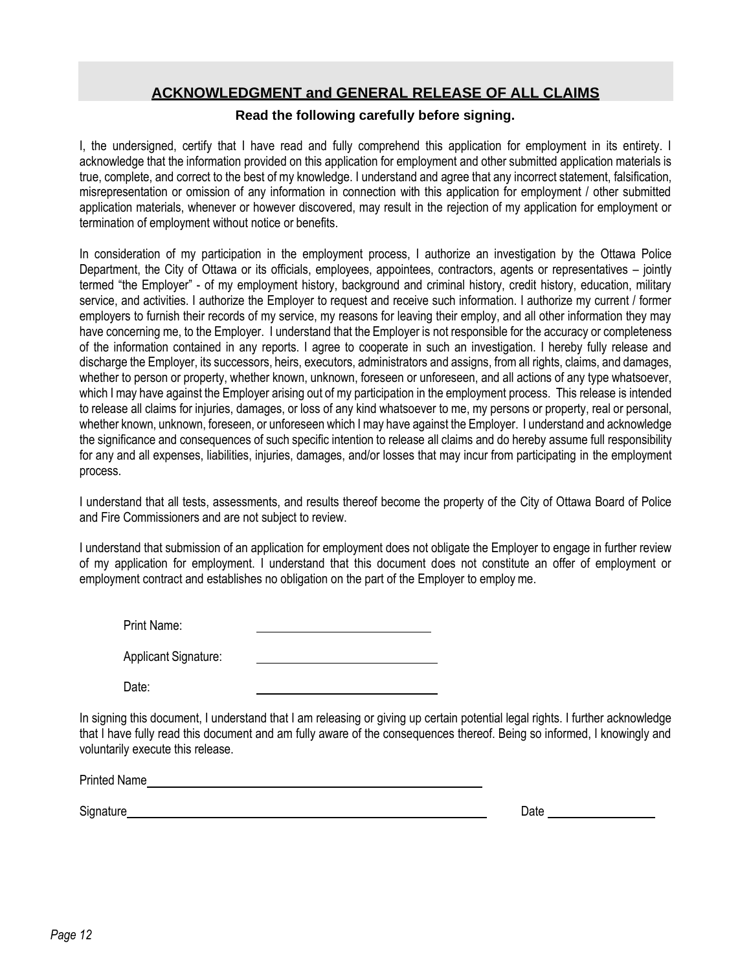### **ACKNOWLEDGMENT and GENERAL RELEASE OF ALL CLAIMS**

### **Read the following carefully before signing.**

I, the undersigned, certify that I have read and fully comprehend this application for employment in its entirety. I acknowledge that the information provided on this application for employment and other submitted application materials is true, complete, and correct to the best of my knowledge. I understand and agree that any incorrect statement, falsification, misrepresentation or omission of any information in connection with this application for employment / other submitted application materials, whenever or however discovered, may result in the rejection of my application for employment or termination of employment without notice or benefits.

In consideration of my participation in the employment process, I authorize an investigation by the Ottawa Police Department, the City of Ottawa or its officials, employees, appointees, contractors, agents or representatives – jointly termed "the Employer" - of my employment history, background and criminal history, credit history, education, military service, and activities. I authorize the Employer to request and receive such information. I authorize my current / former employers to furnish their records of my service, my reasons for leaving their employ, and all other information they may have concerning me, to the Employer. I understand that the Employer is not responsible for the accuracy or completeness of the information contained in any reports. I agree to cooperate in such an investigation. I hereby fully release and discharge the Employer, its successors, heirs, executors, administrators and assigns, from all rights, claims, and damages, whether to person or property, whether known, unknown, foreseen or unforeseen, and all actions of any type whatsoever, which I may have against the Employer arising out of my participation in the employment process. This release is intended to release all claims for injuries, damages, or loss of any kind whatsoever to me, my persons or property, real or personal, whether known, unknown, foreseen, or unforeseen which I may have against the Employer. I understand and acknowledge the significance and consequences of such specific intention to release all claims and do hereby assume full responsibility for any and all expenses, liabilities, injuries, damages, and/or losses that may incur from participating in the employment process.

I understand that all tests, assessments, and results thereof become the property of the City of Ottawa Board of Police and Fire Commissioners and are not subject to review.

I understand that submission of an application for employment does not obligate the Employer to engage in further review of my application for employment. I understand that this document does not constitute an offer of employment or employment contract and establishes no obligation on the part of the Employer to employ me.

Print Name:

Applicant Signature:

Date:

In signing this document, I understand that I am releasing or giving up certain potential legal rights. I further acknowledge that I have fully read this document and am fully aware of the consequences thereof. Being so informed, I knowingly and voluntarily execute this release.

Printed Name

Signature Date Date of the Contract of the Contract of the Contract of the Date Date Date Date of the Contract of the Contract of the Contract of the Contract of the Contract of the Contract of the Contract of the Contract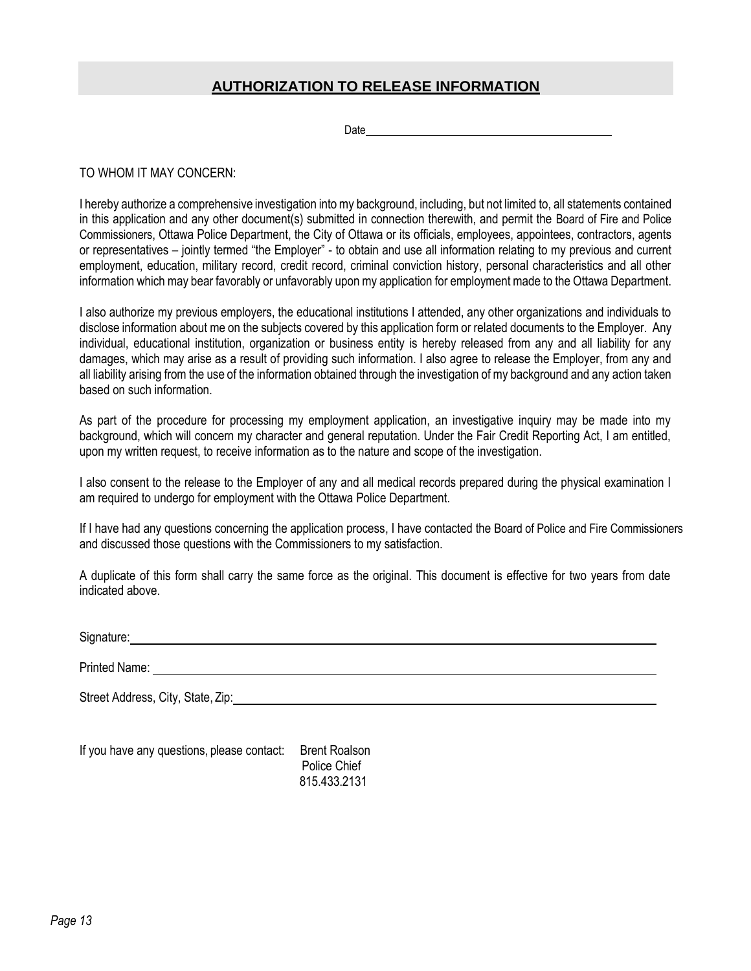# **AUTHORIZATION TO RELEASE INFORMATION**

Date

#### TO WHOM IT MAY CONCERN:

I hereby authorize a comprehensive investigation intomy background, including, but not limited to, all statements contained in this application and any other document(s) submitted in connection therewith, and permit the Board of Fire and Police Commissioners, Ottawa Police Department, the City of Ottawa or its officials, employees, appointees, contractors, agents or representatives – jointly termed "the Employer" - to obtain and use all information relating to my previous and current employment, education, military record, credit record, criminal conviction history, personal characteristics and all other information which may bear favorably or unfavorably upon my application for employment made to the Ottawa Department.

I also authorize my previous employers, the educational institutions I attended, any other organizations and individuals to disclose information about me on the subjects covered by this application form or related documents to the Employer. Any individual, educational institution, organization or business entity is hereby released from any and all liability for any damages, which may arise as a result of providing such information. I also agree to release the Employer, from any and all liability arising from the use of the information obtained through the investigation of my background and any action taken based on such information.

As part of the procedure for processing my employment application, an investigative inquiry may be made into my background, which will concern my character and general reputation. Under the Fair Credit Reporting Act, I am entitled, upon my written request, to receive information as to the nature and scope of the investigation.

I also consent to the release to the Employer of any and all medical records prepared during the physical examination I am required to undergo for employment with the Ottawa Police Department.

If I have had any questions concerning the application process, I have contacted the Board of Police and Fire Commissioners and discussed those questions with the Commissioners to my satisfaction.

A duplicate of this form shall carry the same force as the original. This document is effective for two years from date indicated above.

Signature:

Printed Name:

Street Address, City, State, Zip: 30. The State of the State of The State of The State of The State of The State of The State of The State of The State of The State of The State of The State of The State of The State of Th

If you have any questions, please contact: Brent Roalson Police Chief 815.433.2131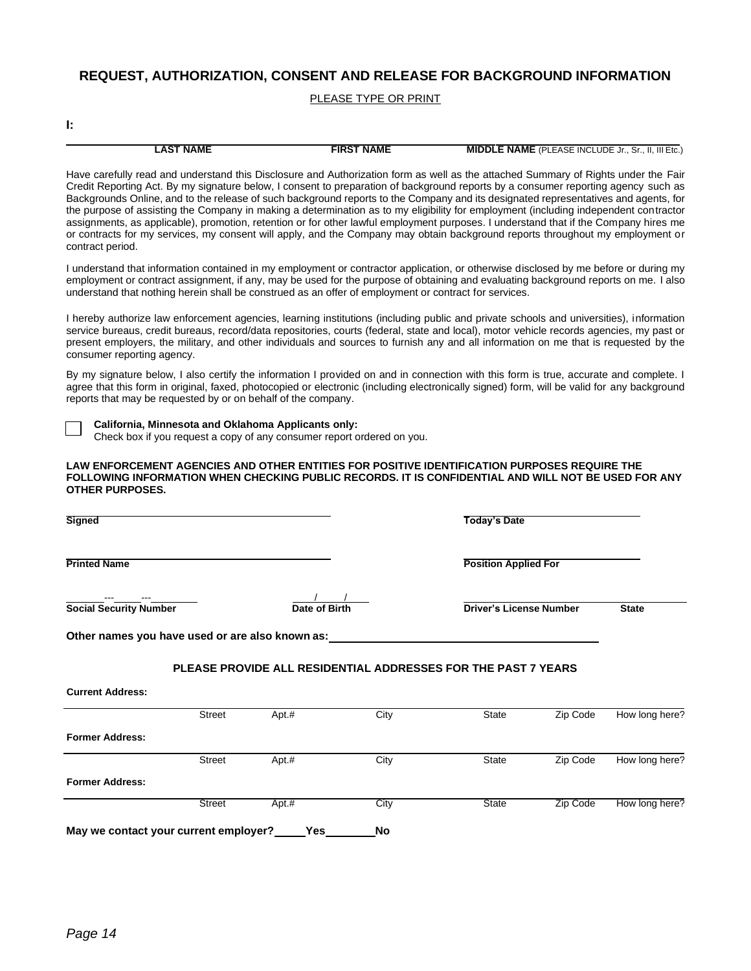#### **REQUEST, AUTHORIZATION, CONSENT AND RELEASE FOR BACKGROUND INFORMATION**

#### PLEASE TYPE OR PRINT

**I:**

| <b>_AST NAMF</b> | <b>FIRST NAME</b> | <b>MIDDLE NAME</b> (PLEASE INCLUDE Jr)<br>III Etc.<br>Sr |
|------------------|-------------------|----------------------------------------------------------|

Have carefully read and understand this Disclosure and Authorization form as well as the attached Summary of Rights under the Fair Credit Reporting Act. By my signature below, I consent to preparation of background reports by a consumer reporting agency such as Backgrounds Online, and to the release of such background reports to the Company and its designated representatives and agents, for the purpose of assisting the Company in making a determination as to my eligibility for employment (including independent contractor assignments, as applicable), promotion, retention or for other lawful employment purposes. I understand that if the Company hires me or contracts for my services, my consent will apply, and the Company may obtain background reports throughout my employment or contract period.

I understand that information contained in my employment or contractor application, or otherwise disclosed by me before or during my employment or contract assignment, if any, may be used for the purpose of obtaining and evaluating background reports on me. I also understand that nothing herein shall be construed as an offer of employment or contract for services.

I hereby authorize law enforcement agencies, learning institutions (including public and private schools and universities), information service bureaus, credit bureaus, record/data repositories, courts (federal, state and local), motor vehicle records agencies, my past or present employers, the military, and other individuals and sources to furnish any and all information on me that is requested by the consumer reporting agency.

By my signature below, I also certify the information I provided on and in connection with this form is true, accurate and complete. I agree that this form in original, faxed, photocopied or electronic (including electronically signed) form, will be valid for any background reports that may be requested by or on behalf of the company.

#### **California, Minnesota and Oklahoma Applicants only:**

Check box if you request a copy of any consumer report ordered on you.

**LAW ENFORCEMENT AGENCIES AND OTHER ENTITIES FOR POSITIVE IDENTIFICATION PURPOSES REQUIRE THE FOLLOWING INFORMATION WHEN CHECKING PUBLIC RECORDS. IT IS CONFIDENTIAL AND WILL NOT BE USED FOR ANY OTHER PURPOSES.**

| <b>Signed</b>                                   |               |       |      | <b>Today's Date</b>                                           |          |                |  |  |
|-------------------------------------------------|---------------|-------|------|---------------------------------------------------------------|----------|----------------|--|--|
| <b>Printed Name</b>                             |               |       |      | <b>Position Applied For</b>                                   |          |                |  |  |
| <b>Social Security Number</b><br>Date of Birth  |               |       |      | <b>Driver's License Number</b>                                |          | <b>State</b>   |  |  |
| Other names you have used or are also known as: |               |       |      |                                                               |          |                |  |  |
|                                                 |               |       |      | PLEASE PROVIDE ALL RESIDENTIAL ADDRESSES FOR THE PAST 7 YEARS |          |                |  |  |
| <b>Current Address:</b>                         |               |       |      |                                                               |          |                |  |  |
|                                                 | <b>Street</b> | Apt.# | City | State                                                         | Zip Code | How long here? |  |  |
| <b>Former Address:</b>                          |               |       |      |                                                               |          |                |  |  |
|                                                 | <b>Street</b> | Apt.# | City | <b>State</b>                                                  | Zip Code | How long here? |  |  |
| <b>Former Address:</b>                          |               |       |      |                                                               |          |                |  |  |
|                                                 | <b>Street</b> | Apt.# | City | <b>State</b>                                                  | Zip Code | How long here? |  |  |
| May we contact your current employer?           |               | Yes   | No   |                                                               |          |                |  |  |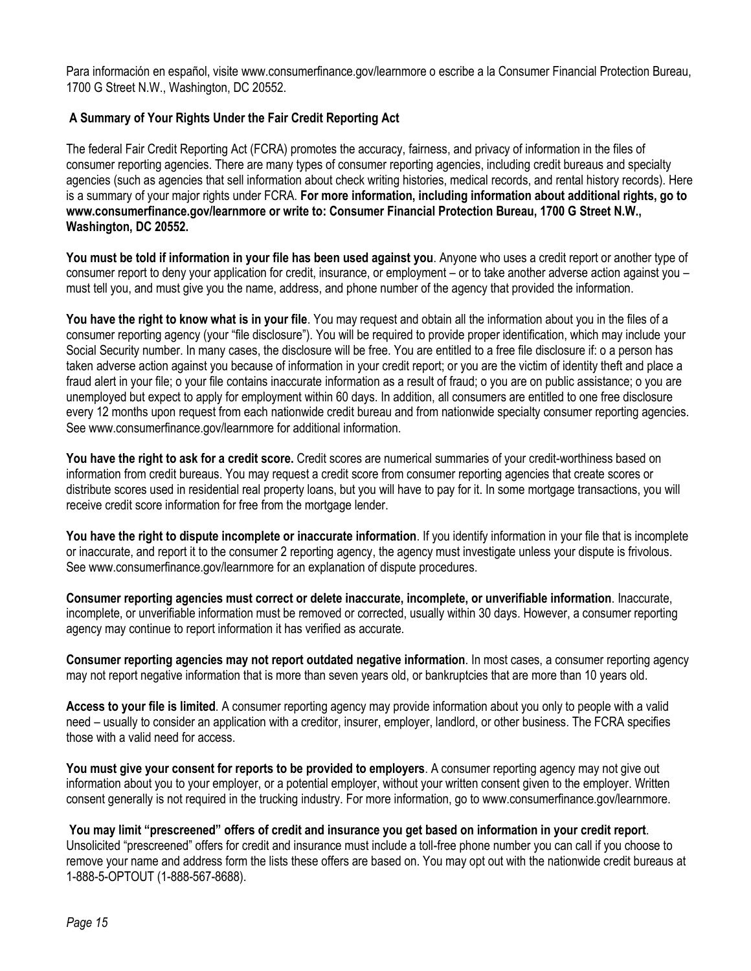Para información en español, visite www.consumerfinance.gov/learnmore o escribe a la Consumer Financial Protection Bureau, 1700 G Street N.W., Washington, DC 20552.

### **A Summary of Your Rights Under the Fair Credit Reporting Act**

The federal Fair Credit Reporting Act (FCRA) promotes the accuracy, fairness, and privacy of information in the files of consumer reporting agencies. There are many types of consumer reporting agencies, including credit bureaus and specialty agencies (such as agencies that sell information about check writing histories, medical records, and rental history records). Here is a summary of your major rights under FCRA. **For more information, including information about additional rights, go to www.consumerfinance.gov/learnmore or write to: Consumer Financial Protection Bureau, 1700 G Street N.W., Washington, DC 20552.** 

**You must be told if information in your file has been used against you**. Anyone who uses a credit report or another type of consumer report to deny your application for credit, insurance, or employment – or to take another adverse action against you – must tell you, and must give you the name, address, and phone number of the agency that provided the information.

**You have the right to know what is in your file**. You may request and obtain all the information about you in the files of a consumer reporting agency (your "file disclosure"). You will be required to provide proper identification, which may include your Social Security number. In many cases, the disclosure will be free. You are entitled to a free file disclosure if: o a person has taken adverse action against you because of information in your credit report; or you are the victim of identity theft and place a fraud alert in your file; o your file contains inaccurate information as a result of fraud; o you are on public assistance; o you are unemployed but expect to apply for employment within 60 days. In addition, all consumers are entitled to one free disclosure every 12 months upon request from each nationwide credit bureau and from nationwide specialty consumer reporting agencies. See www.consumerfinance.gov/learnmore for additional information.

**You have the right to ask for a credit score.** Credit scores are numerical summaries of your credit-worthiness based on information from credit bureaus. You may request a credit score from consumer reporting agencies that create scores or distribute scores used in residential real property loans, but you will have to pay for it. In some mortgage transactions, you will receive credit score information for free from the mortgage lender.

**You have the right to dispute incomplete or inaccurate information**. If you identify information in your file that is incomplete or inaccurate, and report it to the consumer 2 reporting agency, the agency must investigate unless your dispute is frivolous. See www.consumerfinance.gov/learnmore for an explanation of dispute procedures.

**Consumer reporting agencies must correct or delete inaccurate, incomplete, or unverifiable information**. Inaccurate, incomplete, or unverifiable information must be removed or corrected, usually within 30 days. However, a consumer reporting agency may continue to report information it has verified as accurate.

**Consumer reporting agencies may not report outdated negative information**. In most cases, a consumer reporting agency may not report negative information that is more than seven years old, or bankruptcies that are more than 10 years old.

**Access to your file is limited**. A consumer reporting agency may provide information about you only to people with a valid need – usually to consider an application with a creditor, insurer, employer, landlord, or other business. The FCRA specifies those with a valid need for access.

**You must give your consent for reports to be provided to employers**. A consumer reporting agency may not give out information about you to your employer, or a potential employer, without your written consent given to the employer. Written consent generally is not required in the trucking industry. For more information, go to www.consumerfinance.gov/learnmore.

**You may limit "prescreened" offers of credit and insurance you get based on information in your credit report**. Unsolicited "prescreened" offers for credit and insurance must include a toll-free phone number you can call if you choose to remove your name and address form the lists these offers are based on. You may opt out with the nationwide credit bureaus at 1-888-5-OPTOUT (1-888-567-8688).